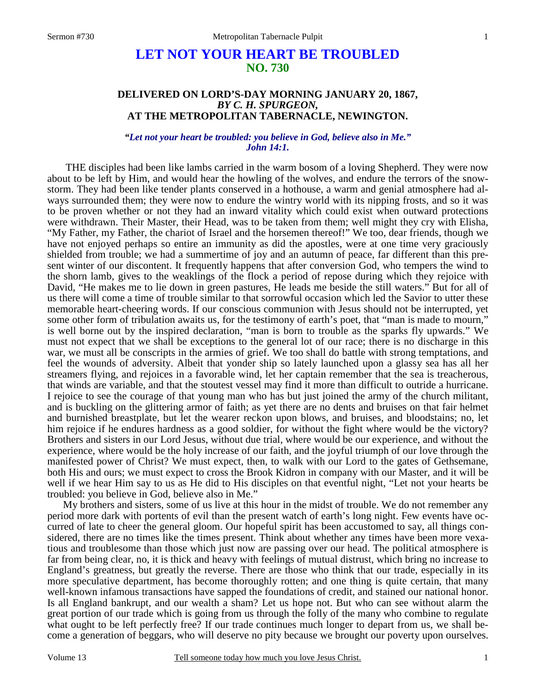# **LET NOT YOUR HEART BE TROUBLED NO. 730**

# **DELIVERED ON LORD'S-DAY MORNING JANUARY 20, 1867,**  *BY C. H. SPURGEON,*  **AT THE METROPOLITAN TABERNACLE, NEWINGTON.**

## *"Let not your heart be troubled: you believe in God, believe also in Me." John 14:1.*

THE disciples had been like lambs carried in the warm bosom of a loving Shepherd. They were now about to be left by Him, and would hear the howling of the wolves, and endure the terrors of the snowstorm. They had been like tender plants conserved in a hothouse, a warm and genial atmosphere had always surrounded them; they were now to endure the wintry world with its nipping frosts, and so it was to be proven whether or not they had an inward vitality which could exist when outward protections were withdrawn. Their Master, their Head, was to be taken from them; well might they cry with Elisha, "My Father, my Father, the chariot of Israel and the horsemen thereof!" We too, dear friends, though we have not enjoyed perhaps so entire an immunity as did the apostles, were at one time very graciously shielded from trouble; we had a summertime of joy and an autumn of peace, far different than this present winter of our discontent. It frequently happens that after conversion God, who tempers the wind to the shorn lamb, gives to the weaklings of the flock a period of repose during which they rejoice with David, "He makes me to lie down in green pastures, He leads me beside the still waters." But for all of us there will come a time of trouble similar to that sorrowful occasion which led the Savior to utter these memorable heart-cheering words. If our conscious communion with Jesus should not be interrupted, yet some other form of tribulation awaits us, for the testimony of earth's poet, that "man is made to mourn," is well borne out by the inspired declaration, "man is born to trouble as the sparks fly upwards." We must not expect that we shall be exceptions to the general lot of our race; there is no discharge in this war, we must all be conscripts in the armies of grief. We too shall do battle with strong temptations, and feel the wounds of adversity. Albeit that yonder ship so lately launched upon a glassy sea has all her streamers flying, and rejoices in a favorable wind, let her captain remember that the sea is treacherous, that winds are variable, and that the stoutest vessel may find it more than difficult to outride a hurricane. I rejoice to see the courage of that young man who has but just joined the army of the church militant, and is buckling on the glittering armor of faith; as yet there are no dents and bruises on that fair helmet and burnished breastplate, but let the wearer reckon upon blows, and bruises, and bloodstains; no, let him rejoice if he endures hardness as a good soldier, for without the fight where would be the victory? Brothers and sisters in our Lord Jesus, without due trial, where would be our experience, and without the experience, where would be the holy increase of our faith, and the joyful triumph of our love through the manifested power of Christ? We must expect, then, to walk with our Lord to the gates of Gethsemane, both His and ours; we must expect to cross the Brook Kidron in company with our Master, and it will be well if we hear Him say to us as He did to His disciples on that eventful night, "Let not your hearts be troubled: you believe in God, believe also in Me."

 My brothers and sisters, some of us live at this hour in the midst of trouble. We do not remember any period more dark with portents of evil than the present watch of earth's long night. Few events have occurred of late to cheer the general gloom. Our hopeful spirit has been accustomed to say, all things considered, there are no times like the times present. Think about whether any times have been more vexatious and troublesome than those which just now are passing over our head. The political atmosphere is far from being clear, no, it is thick and heavy with feelings of mutual distrust, which bring no increase to England's greatness, but greatly the reverse. There are those who think that our trade, especially in its more speculative department, has become thoroughly rotten; and one thing is quite certain, that many well-known infamous transactions have sapped the foundations of credit, and stained our national honor. Is all England bankrupt, and our wealth a sham? Let us hope not. But who can see without alarm the great portion of our trade which is going from us through the folly of the many who combine to regulate what ought to be left perfectly free? If our trade continues much longer to depart from us, we shall become a generation of beggars, who will deserve no pity because we brought our poverty upon ourselves.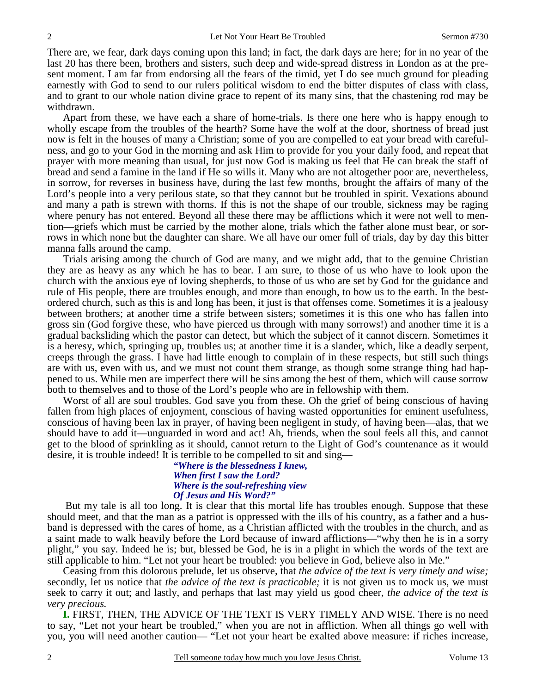There are, we fear, dark days coming upon this land; in fact, the dark days are here; for in no year of the last 20 has there been, brothers and sisters, such deep and wide-spread distress in London as at the present moment. I am far from endorsing all the fears of the timid, yet I do see much ground for pleading earnestly with God to send to our rulers political wisdom to end the bitter disputes of class with class, and to grant to our whole nation divine grace to repent of its many sins, that the chastening rod may be withdrawn.

 Apart from these, we have each a share of home-trials. Is there one here who is happy enough to wholly escape from the troubles of the hearth? Some have the wolf at the door, shortness of bread just now is felt in the houses of many a Christian; some of you are compelled to eat your bread with carefulness, and go to your God in the morning and ask Him to provide for you your daily food, and repeat that prayer with more meaning than usual, for just now God is making us feel that He can break the staff of bread and send a famine in the land if He so wills it. Many who are not altogether poor are, nevertheless, in sorrow, for reverses in business have, during the last few months, brought the affairs of many of the Lord's people into a very perilous state, so that they cannot but be troubled in spirit. Vexations abound and many a path is strewn with thorns. If this is not the shape of our trouble, sickness may be raging where penury has not entered. Beyond all these there may be afflictions which it were not well to mention—griefs which must be carried by the mother alone, trials which the father alone must bear, or sorrows in which none but the daughter can share. We all have our omer full of trials, day by day this bitter manna falls around the camp.

 Trials arising among the church of God are many, and we might add, that to the genuine Christian they are as heavy as any which he has to bear. I am sure, to those of us who have to look upon the church with the anxious eye of loving shepherds, to those of us who are set by God for the guidance and rule of His people, there are troubles enough, and more than enough, to bow us to the earth. In the bestordered church, such as this is and long has been, it just is that offenses come. Sometimes it is a jealousy between brothers; at another time a strife between sisters; sometimes it is this one who has fallen into gross sin (God forgive these, who have pierced us through with many sorrows!) and another time it is a gradual backsliding which the pastor can detect, but which the subject of it cannot discern. Sometimes it is a heresy, which, springing up, troubles us; at another time it is a slander, which, like a deadly serpent, creeps through the grass. I have had little enough to complain of in these respects, but still such things are with us, even with us, and we must not count them strange, as though some strange thing had happened to us. While men are imperfect there will be sins among the best of them, which will cause sorrow both to themselves and to those of the Lord's people who are in fellowship with them.

 Worst of all are soul troubles. God save you from these. Oh the grief of being conscious of having fallen from high places of enjoyment, conscious of having wasted opportunities for eminent usefulness, conscious of having been lax in prayer, of having been negligent in study, of having been—alas, that we should have to add it—unguarded in word and act! Ah, friends, when the soul feels all this, and cannot get to the blood of sprinkling as it should, cannot return to the Light of God's countenance as it would desire, it is trouble indeed! It is terrible to be compelled to sit and sing—

### *"Where is the blessedness I knew, When first I saw the Lord? Where is the soul-refreshing view Of Jesus and His Word?"*

But my tale is all too long. It is clear that this mortal life has troubles enough. Suppose that these should meet, and that the man as a patriot is oppressed with the ills of his country, as a father and a husband is depressed with the cares of home, as a Christian afflicted with the troubles in the church, and as a saint made to walk heavily before the Lord because of inward afflictions—"why then he is in a sorry plight," you say. Indeed he is; but, blessed be God, he is in a plight in which the words of the text are still applicable to him. "Let not your heart be troubled: you believe in God, believe also in Me."

 Ceasing from this dolorous prelude, let us observe, that *the advice of the text is very timely and wise;* secondly, let us notice that *the advice of the text is practicable;* it is not given us to mock us, we must seek to carry it out; and lastly, and perhaps that last may yield us good cheer, *the advice of the text is very precious.* 

**I.** FIRST, THEN, THE ADVICE OF THE TEXT IS VERY TIMELY AND WISE. There is no need to say, "Let not your heart be troubled," when you are not in affliction. When all things go well with you, you will need another caution— "Let not your heart be exalted above measure: if riches increase,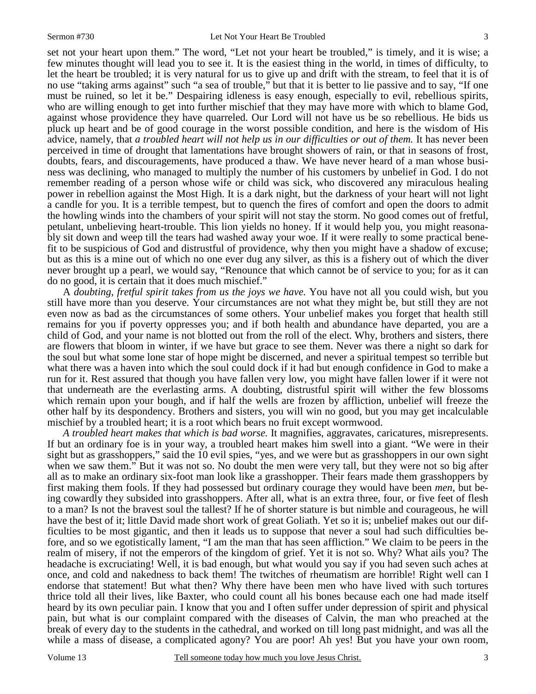set not your heart upon them." The word, "Let not your heart be troubled," is timely, and it is wise; a few minutes thought will lead you to see it. It is the easiest thing in the world, in times of difficulty, to let the heart be troubled; it is very natural for us to give up and drift with the stream, to feel that it is of no use "taking arms against" such "a sea of trouble," but that it is better to lie passive and to say, "If one must be ruined, so let it be." Despairing idleness is easy enough, especially to evil, rebellious spirits, who are willing enough to get into further mischief that they may have more with which to blame God, against whose providence they have quarreled. Our Lord will not have us be so rebellious. He bids us pluck up heart and be of good courage in the worst possible condition, and here is the wisdom of His advice, namely, that *a troubled heart will not help us in our difficulties or out of them.* It has never been perceived in time of drought that lamentations have brought showers of rain, or that in seasons of frost, doubts, fears, and discouragements, have produced a thaw. We have never heard of a man whose business was declining, who managed to multiply the number of his customers by unbelief in God. I do not remember reading of a person whose wife or child was sick, who discovered any miraculous healing power in rebellion against the Most High. It is a dark night, but the darkness of your heart will not light a candle for you. It is a terrible tempest, but to quench the fires of comfort and open the doors to admit the howling winds into the chambers of your spirit will not stay the storm. No good comes out of fretful, petulant, unbelieving heart-trouble. This lion yields no honey. If it would help you, you might reasonably sit down and weep till the tears had washed away your woe. If it were really to some practical benefit to be suspicious of God and distrustful of providence, why then you might have a shadow of excuse; but as this is a mine out of which no one ever dug any silver, as this is a fishery out of which the diver never brought up a pearl, we would say, "Renounce that which cannot be of service to you; for as it can do no good, it is certain that it does much mischief."

 A *doubting*, *fretful spirit takes from us the joys we have.* You have not all you could wish, but you still have more than you deserve. Your circumstances are not what they might be, but still they are not even now as bad as the circumstances of some others. Your unbelief makes you forget that health still remains for you if poverty oppresses you; and if both health and abundance have departed, you are a child of God, and your name is not blotted out from the roll of the elect. Why, brothers and sisters, there are flowers that bloom in winter, if we have but grace to see them. Never was there a night so dark for the soul but what some lone star of hope might be discerned, and never a spiritual tempest so terrible but what there was a haven into which the soul could dock if it had but enough confidence in God to make a run for it. Rest assured that though you have fallen very low, you might have fallen lower if it were not that underneath are the everlasting arms. A doubting, distrustful spirit will wither the few blossoms which remain upon your bough, and if half the wells are frozen by affliction, unbelief will freeze the other half by its despondency. Brothers and sisters, you will win no good, but you may get incalculable mischief by a troubled heart; it is a root which bears no fruit except wormwood.

*A troubled heart makes that which is bad worse.* It magnifies, aggravates, caricatures, misrepresents. If but an ordinary foe is in your way, a troubled heart makes him swell into a giant. "We were in their sight but as grasshoppers," said the 10 evil spies, "yes, and we were but as grasshoppers in our own sight when we saw them." But it was not so. No doubt the men were very tall, but they were not so big after all as to make an ordinary six-foot man look like a grasshopper. Their fears made them grasshoppers by first making them fools. If they had possessed but ordinary courage they would have been *men*, but being cowardly they subsided into grasshoppers. After all, what is an extra three, four, or five feet of flesh to a man? Is not the bravest soul the tallest? If he of shorter stature is but nimble and courageous, he will have the best of it; little David made short work of great Goliath. Yet so it is; unbelief makes out our difficulties to be most gigantic, and then it leads us to suppose that never a soul had such difficulties before, and so we egotistically lament, "I am the man that has seen affliction." We claim to be peers in the realm of misery, if not the emperors of the kingdom of grief. Yet it is not so. Why? What ails you? The headache is excruciating! Well, it is bad enough, but what would you say if you had seven such aches at once, and cold and nakedness to back them! The twitches of rheumatism are horrible! Right well can I endorse that statement! But what then? Why there have been men who have lived with such tortures thrice told all their lives, like Baxter, who could count all his bones because each one had made itself heard by its own peculiar pain. I know that you and I often suffer under depression of spirit and physical pain, but what is our complaint compared with the diseases of Calvin, the man who preached at the break of every day to the students in the cathedral, and worked on till long past midnight, and was all the while a mass of disease, a complicated agony? You are poor! Ah yes! But you have your own room,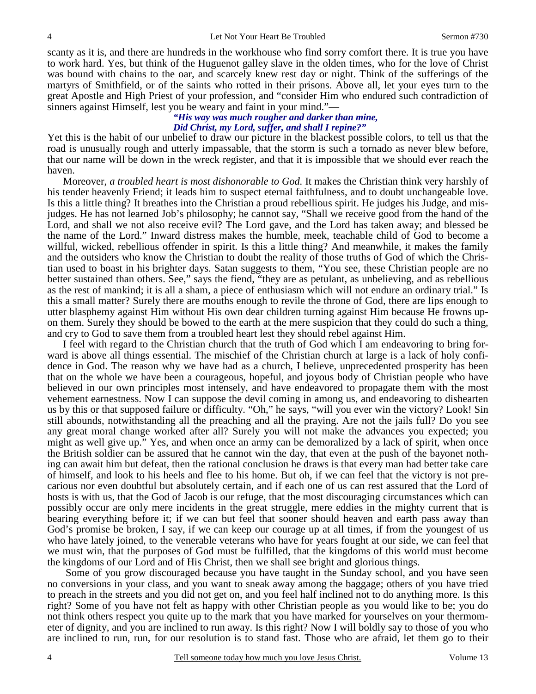scanty as it is, and there are hundreds in the workhouse who find sorry comfort there. It is true you have to work hard. Yes, but think of the Huguenot galley slave in the olden times, who for the love of Christ was bound with chains to the oar, and scarcely knew rest day or night. Think of the sufferings of the martyrs of Smithfield, or of the saints who rotted in their prisons. Above all, let your eyes turn to the great Apostle and High Priest of your profession, and "consider Him who endured such contradiction of sinners against Himself, lest you be weary and faint in your mind."—

#### *"His way was much rougher and darker than mine, Did Christ, my Lord, suffer, and shall I repine?"*

Yet this is the habit of our unbelief to draw our picture in the blackest possible colors, to tell us that the road is unusually rough and utterly impassable, that the storm is such a tornado as never blew before, that our name will be down in the wreck register, and that it is impossible that we should ever reach the haven.

 Moreover, *a troubled heart is most dishonorable to God.* It makes the Christian think very harshly of his tender heavenly Friend; it leads him to suspect eternal faithfulness, and to doubt unchangeable love. Is this a little thing? It breathes into the Christian a proud rebellious spirit. He judges his Judge, and misjudges. He has not learned Job's philosophy; he cannot say, "Shall we receive good from the hand of the Lord, and shall we not also receive evil? The Lord gave, and the Lord has taken away; and blessed be the name of the Lord." Inward distress makes the humble, meek, teachable child of God to become a willful, wicked, rebellious offender in spirit. Is this a little thing? And meanwhile, it makes the family and the outsiders who know the Christian to doubt the reality of those truths of God of which the Christian used to boast in his brighter days. Satan suggests to them, "You see, these Christian people are no better sustained than others. See," says the fiend, "they are as petulant, as unbelieving, and as rebellious as the rest of mankind; it is all a sham, a piece of enthusiasm which will not endure an ordinary trial." Is this a small matter? Surely there are mouths enough to revile the throne of God, there are lips enough to utter blasphemy against Him without His own dear children turning against Him because He frowns upon them. Surely they should be bowed to the earth at the mere suspicion that they could do such a thing, and cry to God to save them from a troubled heart lest they should rebel against Him.

 I feel with regard to the Christian church that the truth of God which I am endeavoring to bring forward is above all things essential. The mischief of the Christian church at large is a lack of holy confidence in God. The reason why we have had as a church, I believe, unprecedented prosperity has been that on the whole we have been a courageous, hopeful, and joyous body of Christian people who have believed in our own principles most intensely, and have endeavored to propagate them with the most vehement earnestness. Now I can suppose the devil coming in among us, and endeavoring to dishearten us by this or that supposed failure or difficulty. "Oh," he says, "will you ever win the victory? Look! Sin still abounds, notwithstanding all the preaching and all the praying. Are not the jails full? Do you see any great moral change worked after all? Surely you will not make the advances you expected; you might as well give up." Yes, and when once an army can be demoralized by a lack of spirit, when once the British soldier can be assured that he cannot win the day, that even at the push of the bayonet nothing can await him but defeat, then the rational conclusion he draws is that every man had better take care of himself, and look to his heels and flee to his home. But oh, if we can feel that the victory is not precarious nor even doubtful but absolutely certain, and if each one of us can rest assured that the Lord of hosts is with us, that the God of Jacob is our refuge, that the most discouraging circumstances which can possibly occur are only mere incidents in the great struggle, mere eddies in the mighty current that is bearing everything before it; if we can but feel that sooner should heaven and earth pass away than God's promise be broken, I say, if we can keep our courage up at all times, if from the youngest of us who have lately joined, to the venerable veterans who have for years fought at our side, we can feel that we must win, that the purposes of God must be fulfilled, that the kingdoms of this world must become the kingdoms of our Lord and of His Christ, then we shall see bright and glorious things.

 Some of you grow discouraged because you have taught in the Sunday school, and you have seen no conversions in your class, and you want to sneak away among the baggage; others of you have tried to preach in the streets and you did not get on, and you feel half inclined not to do anything more. Is this right? Some of you have not felt as happy with other Christian people as you would like to be; you do not think others respect you quite up to the mark that you have marked for yourselves on your thermometer of dignity, and you are inclined to run away. Is this right? Now I will boldly say to those of you who are inclined to run, run, for our resolution is to stand fast. Those who are afraid, let them go to their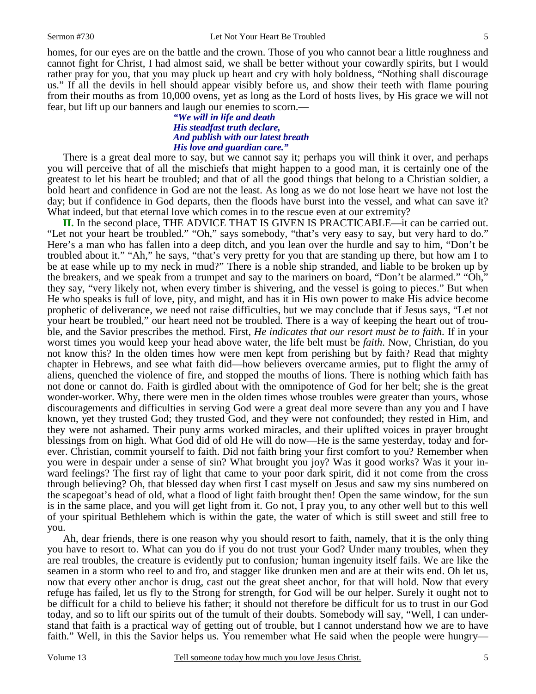homes, for our eyes are on the battle and the crown. Those of you who cannot bear a little roughness and cannot fight for Christ, I had almost said, we shall be better without your cowardly spirits, but I would rather pray for you, that you may pluck up heart and cry with holy boldness, "Nothing shall discourage us." If all the devils in hell should appear visibly before us, and show their teeth with flame pouring from their mouths as from 10,000 ovens, yet as long as the Lord of hosts lives, by His grace we will not fear, but lift up our banners and laugh our enemies to scorn.—

### *"We will in life and death His steadfast truth declare, And publish with our latest breath His love and guardian care."*

There is a great deal more to say, but we cannot say it; perhaps you will think it over, and perhaps you will perceive that of all the mischiefs that might happen to a good man, it is certainly one of the greatest to let his heart be troubled; and that of all the good things that belong to a Christian soldier, a bold heart and confidence in God are not the least. As long as we do not lose heart we have not lost the day; but if confidence in God departs, then the floods have burst into the vessel, and what can save it? What indeed, but that eternal love which comes in to the rescue even at our extremity?

**II.** In the second place, THE ADVICE THAT IS GIVEN IS PRACTICABLE—it can be carried out. "Let not your heart be troubled." "Oh," says somebody, "that's very easy to say, but very hard to do." Here's a man who has fallen into a deep ditch, and you lean over the hurdle and say to him, "Don't be troubled about it." "Ah," he says, "that's very pretty for you that are standing up there, but how am I to be at ease while up to my neck in mud?" There is a noble ship stranded, and liable to be broken up by the breakers, and we speak from a trumpet and say to the mariners on board, "Don't be alarmed." "Oh," they say, "very likely not, when every timber is shivering, and the vessel is going to pieces." But when He who speaks is full of love, pity, and might, and has it in His own power to make His advice become prophetic of deliverance, we need not raise difficulties, but we may conclude that if Jesus says, "Let not your heart be troubled," our heart need not be troubled. There is a way of keeping the heart out of trouble, and the Savior prescribes the method. First, *He indicates that our resort must be to faith.* If in your worst times you would keep your head above water, the life belt must be *faith*. Now, Christian, do you not know this? In the olden times how were men kept from perishing but by faith? Read that mighty chapter in Hebrews, and see what faith did—how believers overcame armies, put to flight the army of aliens, quenched the violence of fire, and stopped the mouths of lions. There is nothing which faith has not done or cannot do. Faith is girdled about with the omnipotence of God for her belt; she is the great wonder-worker. Why, there were men in the olden times whose troubles were greater than yours, whose discouragements and difficulties in serving God were a great deal more severe than any you and I have known, yet they trusted God; they trusted God, and they were not confounded; they rested in Him, and they were not ashamed. Their puny arms worked miracles, and their uplifted voices in prayer brought blessings from on high. What God did of old He will do now—He is the same yesterday, today and forever. Christian, commit yourself to faith. Did not faith bring your first comfort to you? Remember when you were in despair under a sense of sin? What brought you joy? Was it good works? Was it your inward feelings? The first ray of light that came to your poor dark spirit, did it not come from the cross through believing? Oh, that blessed day when first I cast myself on Jesus and saw my sins numbered on the scapegoat's head of old, what a flood of light faith brought then! Open the same window, for the sun is in the same place, and you will get light from it. Go not, I pray you, to any other well but to this well of your spiritual Bethlehem which is within the gate, the water of which is still sweet and still free to you.

 Ah, dear friends, there is one reason why you should resort to faith, namely, that it is the only thing you have to resort to. What can you do if you do not trust your God? Under many troubles, when they are real troubles, the creature is evidently put to confusion*;* human ingenuity itself fails. We are like the seamen in a storm who reel to and fro, and stagger like drunken men and are at their wits end. Oh let us, now that every other anchor is drug, cast out the great sheet anchor, for that will hold. Now that every refuge has failed, let us fly to the Strong for strength, for God will be our helper. Surely it ought not to be difficult for a child to believe his father; it should not therefore be difficult for us to trust in our God today, and so to lift our spirits out of the tumult of their doubts. Somebody will say, "Well, I can understand that faith is a practical way of getting out of trouble, but I cannot understand how we are to have faith." Well, in this the Savior helps us. You remember what He said when the people were hungry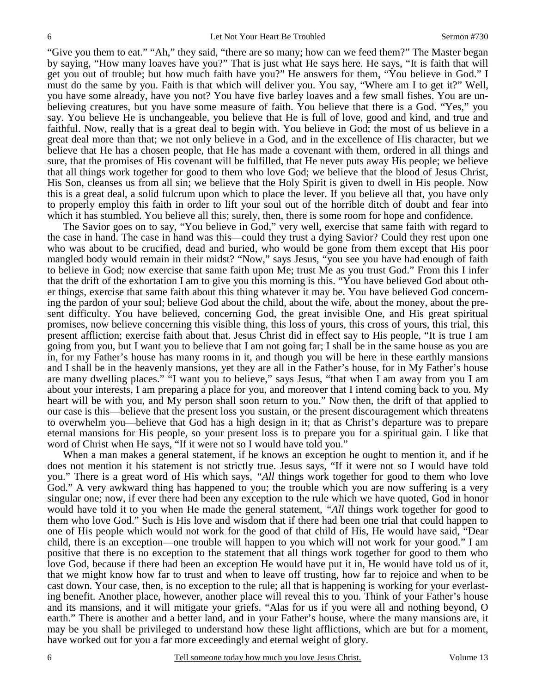"Give you them to eat." "Ah," they said, "there are so many; how can we feed them?" The Master began by saying, "How many loaves have you?" That is just what He says here. He says, "It is faith that will get you out of trouble; but how much faith have you?" He answers for them, "You believe in God." I must do the same by you. Faith is that which will deliver you. You say, "Where am I to get it?" Well, you have some already, have you not? You have five barley loaves and a few small fishes. You are unbelieving creatures, but you have some measure of faith. You believe that there is a God. "Yes," you say. You believe He is unchangeable, you believe that He is full of love, good and kind, and true and faithful. Now, really that is a great deal to begin with. You believe in God; the most of us believe in a great deal more than that; we not only believe in a God, and in the excellence of His character, but we believe that He has a chosen people, that He has made a covenant with them, ordered in all things and sure, that the promises of His covenant will be fulfilled, that He never puts away His people; we believe that all things work together for good to them who love God; we believe that the blood of Jesus Christ, His Son, cleanses us from all sin; we believe that the Holy Spirit is given to dwell in His people. Now this is a great deal, a solid fulcrum upon which to place the lever. If you believe all that, you have only to properly employ this faith in order to lift your soul out of the horrible ditch of doubt and fear into which it has stumbled. You believe all this; surely, then, there is some room for hope and confidence.

 The Savior goes on to say, "You believe in God," very well, exercise that same faith with regard to the case in hand. The case in hand was this—could they trust a dying Savior? Could they rest upon one who was about to be crucified, dead and buried, who would be gone from them except that His poor mangled body would remain in their midst? "Now," says Jesus, "you see you have had enough of faith to believe in God; now exercise that same faith upon Me; trust Me as you trust God." From this I infer that the drift of the exhortation I am to give you this morning is this. "You have believed God about other things, exercise that same faith about this thing whatever it may be. You have believed God concerning the pardon of your soul; believe God about the child, about the wife, about the money, about the present difficulty. You have believed, concerning God, the great invisible One, and His great spiritual promises, now believe concerning this visible thing, this loss of yours, this cross of yours, this trial, this present affliction; exercise faith about that. Jesus Christ did in effect say to His people, "It is true I am going from you, but I want you to believe that I am not going far; I shall be in the same house as you are in, for my Father's house has many rooms in it, and though you will be here in these earthly mansions and I shall be in the heavenly mansions, yet they are all in the Father's house, for in My Father's house are many dwelling places." "I want you to believe," says Jesus, "that when I am away from you I am about your interests, I am preparing a place for you, and moreover that I intend coming back to you. My heart will be with you, and My person shall soon return to you." Now then, the drift of that applied to our case is this—believe that the present loss you sustain, or the present discouragement which threatens to overwhelm you—believe that God has a high design in it; that as Christ's departure was to prepare eternal mansions for His people, so your present loss is to prepare you for a spiritual gain. I like that word of Christ when He says, "If it were not so I would have told you."

 When a man makes a general statement, if he knows an exception he ought to mention it, and if he does not mention it his statement is not strictly true. Jesus says, "If it were not so I would have told you." There is a great word of His which says, *"All* things work together for good to them who love God." A very awkward thing has happened to you; the trouble which you are now suffering is a very singular one; now, if ever there had been any exception to the rule which we have quoted, God in honor would have told it to you when He made the general statement, *"All* things work together for good to them who love God." Such is His love and wisdom that if there had been one trial that could happen to one of His people which would not work for the good of that child of His, He would have said, "Dear child, there is an exception—one trouble will happen to you which will not work for your good." I am positive that there is no exception to the statement that all things work together for good to them who love God, because if there had been an exception He would have put it in, He would have told us of it, that we might know how far to trust and when to leave off trusting, how far to rejoice and when to be cast down. Your case, then, is no exception to the rule; all that is happening is working for your everlasting benefit. Another place, however, another place will reveal this to you. Think of your Father's house and its mansions, and it will mitigate your griefs. "Alas for us if you were all and nothing beyond, O earth." There is another and a better land, and in your Father's house, where the many mansions are, it may be you shall be privileged to understand how these light afflictions, which are but for a moment, have worked out for you a far more exceedingly and eternal weight of glory.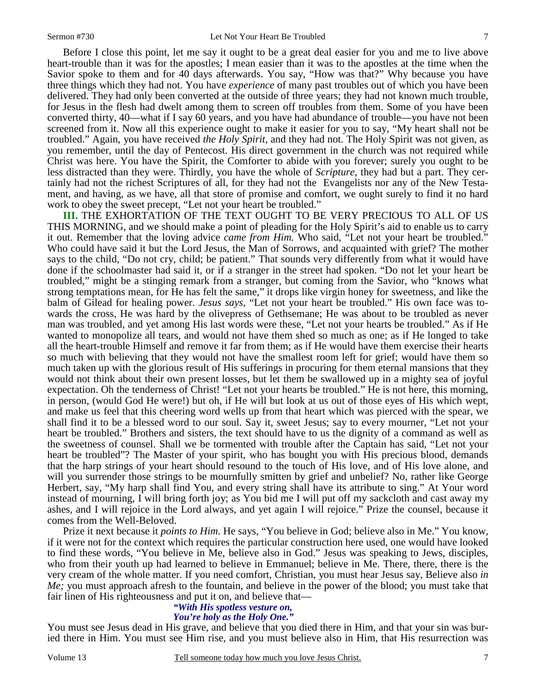Before I close this point, let me say it ought to be a great deal easier for you and me to live above heart-trouble than it was for the apostles; I mean easier than it was to the apostles at the time when the Savior spoke to them and for 40 days afterwards. You say, "How was that?" Why because you have three things which they had not. You have *experience* of many past troubles out of which you have been delivered. They had only been converted at the outside of three years; they had not known much trouble, for Jesus in the flesh had dwelt among them to screen off troubles from them. Some of you have been converted thirty, 40—what if I say 60 years, and you have had abundance of trouble—you have not been screened from it. Now all this experience ought to make it easier for you to say, "My heart shall not be troubled." Again, you have received *the Holy Spirit,* and they had not. The Holy Spirit was not given, as you remember, until the day of Pentecost. His direct government in the church was not required while Christ was here. You have the Spirit, the Comforter to abide with you forever; surely you ought to be less distracted than they were. Thirdly, you have the whole of *Scripture,* they had but a part. They certainly had not the richest Scriptures of all, for they had not the Evangelists nor any of the New Testament, and having, as we have, all that store of promise and comfort, we ought surely to find it no hard work to obey the sweet precept, "Let not your heart be troubled."

**III.** THE EXHORTATION OF THE TEXT OUGHT TO BE VERY PRECIOUS TO ALL OF US THIS MORNING, and we should make a point of pleading for the Holy Spirit's aid to enable us to carry it out. Remember that the loving advice *came from Him.* Who said, "Let not your heart be troubled." Who could have said it but the Lord Jesus, the Man of Sorrows, and acquainted with grief? The mother says to the child, "Do not cry, child; be patient." That sounds very differently from what it would have done if the schoolmaster had said it, or if a stranger in the street had spoken. "Do not let your heart be troubled," might be a stinging remark from a stranger, but coming from the Savior, who "knows what strong temptations mean, for He has felt the same," it drops like virgin honey for sweetness, and like the balm of Gilead for healing power. *Jesus says,* "Let not your heart be troubled." His own face was towards the cross, He was hard by the olivepress of Gethsemane; He was about to be troubled as never man was troubled, and yet among His last words were these, "Let not your hearts be troubled." As if He wanted to monopolize all tears, and would not have them shed so much as one; as if He longed to take all the heart-trouble Himself and remove it far from them; as if He would have them exercise their hearts so much with believing that they would not have the smallest room left for grief; would have them so much taken up with the glorious result of His sufferings in procuring for them eternal mansions that they would not think about their own present losses, but let them be swallowed up in a mighty sea of joyful expectation. Oh the tenderness of Christ! "Let not your hearts be troubled." He is not here, this morning, in person, (would God He were!) but oh, if He will but look at us out of those eyes of His which wept, and make us feel that this cheering word wells up from that heart which was pierced with the spear, we shall find it to be a blessed word to our soul. Say it, sweet Jesus; say to every mourner, "Let not your heart be troubled." Brothers and sisters, the text should have to us the dignity of a command as well as the sweetness of counsel. Shall we be tormented with trouble after the Captain has said, "Let not your heart be troubled"? The Master of your spirit, who has bought you with His precious blood, demands that the harp strings of your heart should resound to the touch of His love, and of His love alone, and will you surrender those strings to be mournfully smitten by grief and unbelief? No, rather like George Herbert, say, "My harp shall find You, and every string shall have its attribute to sing." At Your word instead of mourning, I will bring forth joy; as You bid me I will put off my sackcloth and cast away my ashes, and I will rejoice in the Lord always, and yet again I will rejoice." Prize the counsel, because it comes from the Well-Beloved.

 Prize it next because it *points to Him.* He says, "You believe in God; believe also in Me." You know, if it were not for the context which requires the particular construction here used, one would have looked to find these words, "You believe in Me, believe also in God." Jesus was speaking to Jews, disciples, who from their youth up had learned to believe in Emmanuel; believe in Me. There, there, there is the very cream of the whole matter. If you need comfort, Christian, you must hear Jesus say, Believe also *in Me*; you must approach afresh to the fountain, and believe in the power of the blood; you must take that fair linen of His righteousness and put it on, and believe that—

#### *"With His spotless vesture on, You're holy as the Holy One."*

You must see Jesus dead in His grave, and believe that you died there in Him, and that your sin was buried there in Him. You must see Him rise, and you must believe also in Him, that His resurrection was